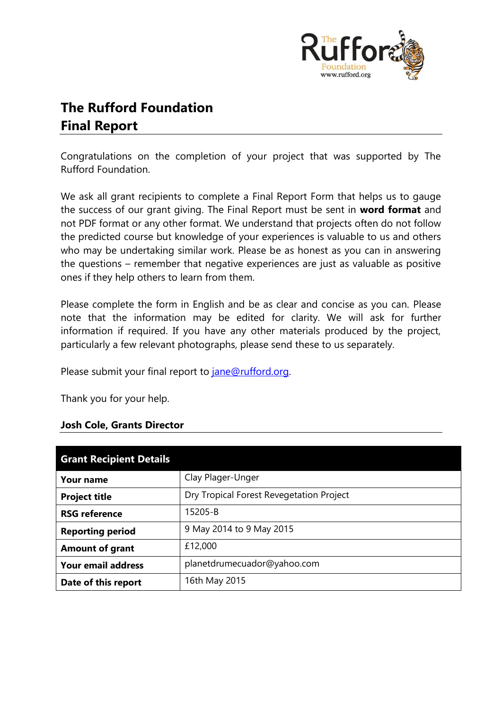

# **The Rufford Foundation Final Report**

Congratulations on the completion of your project that was supported by The Rufford Foundation.

We ask all grant recipients to complete a Final Report Form that helps us to gauge the success of our grant giving. The Final Report must be sent in **word format** and not PDF format or any other format. We understand that projects often do not follow the predicted course but knowledge of your experiences is valuable to us and others who may be undertaking similar work. Please be as honest as you can in answering the questions – remember that negative experiences are just as valuable as positive ones if they help others to learn from them.

Please complete the form in English and be as clear and concise as you can. Please note that the information may be edited for clarity. We will ask for further information if required. If you have any other materials produced by the project, particularly a few relevant photographs, please send these to us separately.

Please submit your final report to *jane@rufford.org*.

Thank you for your help.

#### **Josh Cole, Grants Director**

| <b>Grant Recipient Details</b> |                                          |
|--------------------------------|------------------------------------------|
| <b>Your name</b>               | Clay Plager-Unger                        |
| <b>Project title</b>           | Dry Tropical Forest Revegetation Project |
| <b>RSG reference</b>           | 15205-B                                  |
| <b>Reporting period</b>        | 9 May 2014 to 9 May 2015                 |
| <b>Amount of grant</b>         | £12,000                                  |
| <b>Your email address</b>      | planetdrumecuador@yahoo.com              |
| Date of this report            | 16th May 2015                            |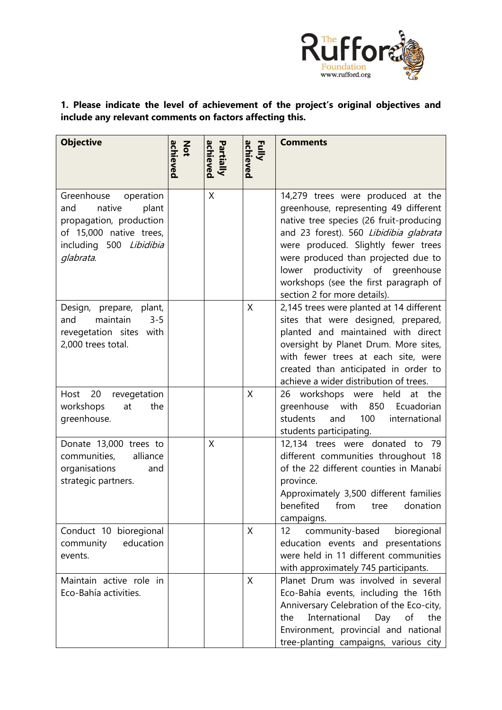

# **1. Please indicate the level of achievement of the project's original objectives and include any relevant comments on factors affecting this.**

| <b>Objective</b>                                                                                                                                | achieved<br>Not | achieved<br><b>Partially</b> | achieved<br>Fully | <b>Comments</b>                                                                                                                                                                                                                                                                                                                                            |
|-------------------------------------------------------------------------------------------------------------------------------------------------|-----------------|------------------------------|-------------------|------------------------------------------------------------------------------------------------------------------------------------------------------------------------------------------------------------------------------------------------------------------------------------------------------------------------------------------------------------|
| Greenhouse<br>operation<br>native<br>and<br>plant<br>propagation, production<br>of 15,000 native trees,<br>including 500 Libidibia<br>glabrata. |                 | X                            |                   | 14,279 trees were produced at the<br>greenhouse, representing 49 different<br>native tree species (26 fruit-producing<br>and 23 forest). 560 Libidibia glabrata<br>were produced. Slightly fewer trees<br>were produced than projected due to<br>lower productivity of greenhouse<br>workshops (see the first paragraph of<br>section 2 for more details). |
| Design, prepare, plant,<br>maintain<br>$3 - 5$<br>and<br>revegetation sites with<br>2,000 trees total.                                          |                 |                              | X                 | 2,145 trees were planted at 14 different<br>sites that were designed, prepared,<br>planted and maintained with direct<br>oversight by Planet Drum. More sites,<br>with fewer trees at each site, were<br>created than anticipated in order to<br>achieve a wider distribution of trees.                                                                    |
| 20<br>revegetation<br>Host<br>workshops<br>the<br>at<br>greenhouse.                                                                             |                 |                              | X                 | 26 workshops were held<br>at the<br>greenhouse with<br>850<br>Ecuadorian<br>100<br>students<br>and<br>international<br>students participating.                                                                                                                                                                                                             |
| Donate 13,000 trees to<br>alliance<br>communities,<br>organisations<br>and<br>strategic partners.                                               |                 | X                            |                   | 12,134 trees were donated to 79<br>different communities throughout 18<br>of the 22 different counties in Manabí<br>province.<br>Approximately 3,500 different families<br>benefited<br>from<br>donation<br>tree<br>campaigns.                                                                                                                             |
| Conduct 10 bioregional<br>community<br>education<br>events.                                                                                     |                 |                              | X                 | bioregional<br>community-based<br>12<br>education events and presentations<br>were held in 11 different communities<br>with approximately 745 participants.                                                                                                                                                                                                |
| Maintain active role in<br>Eco-Bahía activities.                                                                                                |                 |                              | X                 | Planet Drum was involved in several<br>Eco-Bahía events, including the 16th<br>Anniversary Celebration of the Eco-city,<br>International<br>the<br>Day<br>of<br>the<br>Environment, provincial and national<br>tree-planting campaigns, various city                                                                                                       |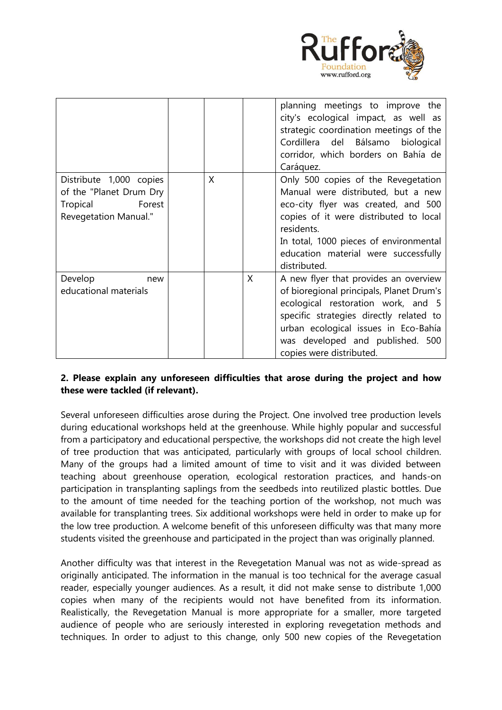

|                                                                                                          |         |         | planning meetings to improve the<br>city's ecological impact, as well as<br>strategic coordination meetings of the<br>Cordillera del Bálsamo biological<br>corridor, which borders on Bahía de                                                                                          |
|----------------------------------------------------------------------------------------------------------|---------|---------|-----------------------------------------------------------------------------------------------------------------------------------------------------------------------------------------------------------------------------------------------------------------------------------------|
| Distribute 1,000 copies<br>of the "Planet Drum Dry<br>Forest<br>Tropical<br><b>Revegetation Manual."</b> | $\sf X$ |         | Caráquez.<br>Only 500 copies of the Revegetation<br>Manual were distributed, but a new<br>eco-city flyer was created, and 500<br>copies of it were distributed to local<br>residents.<br>In total, 1000 pieces of environmental<br>education material were successfully<br>distributed. |
| Develop<br>new<br>educational materials                                                                  |         | $\sf X$ | A new flyer that provides an overview<br>of bioregional principals, Planet Drum's<br>ecological restoration work, and 5<br>specific strategies directly related to<br>urban ecological issues in Eco-Bahía<br>was developed and published. 500<br>copies were distributed.              |

### **2. Please explain any unforeseen difficulties that arose during the project and how these were tackled (if relevant).**

Several unforeseen difficulties arose during the Project. One involved tree production levels during educational workshops held at the greenhouse. While highly popular and successful from a participatory and educational perspective, the workshops did not create the high level of tree production that was anticipated, particularly with groups of local school children. Many of the groups had a limited amount of time to visit and it was divided between teaching about greenhouse operation, ecological restoration practices, and hands-on participation in transplanting saplings from the seedbeds into reutilized plastic bottles. Due to the amount of time needed for the teaching portion of the workshop, not much was available for transplanting trees. Six additional workshops were held in order to make up for the low tree production. A welcome benefit of this unforeseen difficulty was that many more students visited the greenhouse and participated in the project than was originally planned.

Another difficulty was that interest in the Revegetation Manual was not as wide-spread as originally anticipated. The information in the manual is too technical for the average casual reader, especially younger audiences. As a result, it did not make sense to distribute 1,000 copies when many of the recipients would not have benefited from its information. Realistically, the Revegetation Manual is more appropriate for a smaller, more targeted audience of people who are seriously interested in exploring revegetation methods and techniques. In order to adjust to this change, only 500 new copies of the Revegetation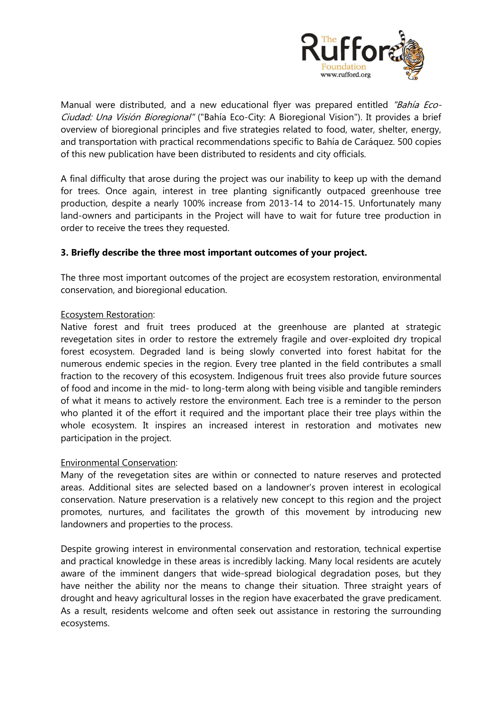

Manual were distributed, and a new educational flyer was prepared entitled "Bahía Eco-Ciudad: Una Visión Bioregional" ("Bahía Eco-City: A Bioregional Vision"). It provides a brief overview of bioregional principles and five strategies related to food, water, shelter, energy, and transportation with practical recommendations specific to Bahía de Caráquez. 500 copies of this new publication have been distributed to residents and city officials.

A final difficulty that arose during the project was our inability to keep up with the demand for trees. Once again, interest in tree planting significantly outpaced greenhouse tree production, despite a nearly 100% increase from 2013-14 to 2014-15. Unfortunately many land-owners and participants in the Project will have to wait for future tree production in order to receive the trees they requested.

#### **3. Briefly describe the three most important outcomes of your project.**

The three most important outcomes of the project are ecosystem restoration, environmental conservation, and bioregional education.

#### Ecosystem Restoration:

Native forest and fruit trees produced at the greenhouse are planted at strategic revegetation sites in order to restore the extremely fragile and over-exploited dry tropical forest ecosystem. Degraded land is being slowly converted into forest habitat for the numerous endemic species in the region. Every tree planted in the field contributes a small fraction to the recovery of this ecosystem. Indigenous fruit trees also provide future sources of food and income in the mid- to long-term along with being visible and tangible reminders of what it means to actively restore the environment. Each tree is a reminder to the person who planted it of the effort it required and the important place their tree plays within the whole ecosystem. It inspires an increased interest in restoration and motivates new participation in the project.

#### Environmental Conservation:

Many of the revegetation sites are within or connected to nature reserves and protected areas. Additional sites are selected based on a landowner's proven interest in ecological conservation. Nature preservation is a relatively new concept to this region and the project promotes, nurtures, and facilitates the growth of this movement by introducing new landowners and properties to the process.

Despite growing interest in environmental conservation and restoration, technical expertise and practical knowledge in these areas is incredibly lacking. Many local residents are acutely aware of the imminent dangers that wide-spread biological degradation poses, but they have neither the ability nor the means to change their situation. Three straight years of drought and heavy agricultural losses in the region have exacerbated the grave predicament. As a result, residents welcome and often seek out assistance in restoring the surrounding ecosystems.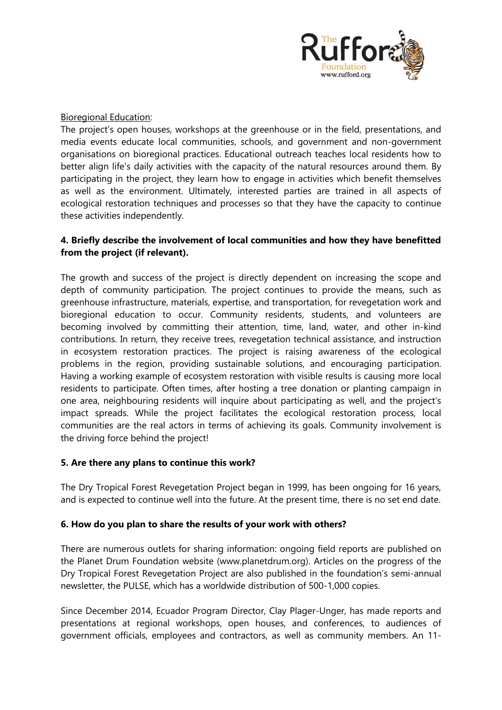

Bioregional Education:

The project's open houses, workshops at the greenhouse or in the field, presentations, and media events educate local communities, schools, and government and non-government organisations on bioregional practices. Educational outreach teaches local residents how to better align life's daily activities with the capacity of the natural resources around them. By participating in the project, they learn how to engage in activities which benefit themselves as well as the environment. Ultimately, interested parties are trained in all aspects of ecological restoration techniques and processes so that they have the capacity to continue these activities independently.

## **4. Briefly describe the involvement of local communities and how they have benefitted from the project (if relevant).**

The growth and success of the project is directly dependent on increasing the scope and depth of community participation. The project continues to provide the means, such as greenhouse infrastructure, materials, expertise, and transportation, for revegetation work and bioregional education to occur. Community residents, students, and volunteers are becoming involved by committing their attention, time, land, water, and other in-kind contributions. In return, they receive trees, revegetation technical assistance, and instruction in ecosystem restoration practices. The project is raising awareness of the ecological problems in the region, providing sustainable solutions, and encouraging participation. Having a working example of ecosystem restoration with visible results is causing more local residents to participate. Often times, after hosting a tree donation or planting campaign in one area, neighbouring residents will inquire about participating as well, and the project's impact spreads. While the project facilitates the ecological restoration process, local communities are the real actors in terms of achieving its goals. Community involvement is the driving force behind the project!

#### **5. Are there any plans to continue this work?**

The Dry Tropical Forest Revegetation Project began in 1999, has been ongoing for 16 years, and is expected to continue well into the future. At the present time, there is no set end date.

#### **6. How do you plan to share the results of your work with others?**

There are numerous outlets for sharing information: ongoing field reports are published on the Planet Drum Foundation website (www.planetdrum.org). Articles on the progress of the Dry Tropical Forest Revegetation Project are also published in the foundation's semi-annual newsletter, the PULSE, which has a worldwide distribution of 500-1,000 copies.

Since December 2014, Ecuador Program Director, Clay Plager-Unger, has made reports and presentations at regional workshops, open houses, and conferences, to audiences of government officials, employees and contractors, as well as community members. An 11-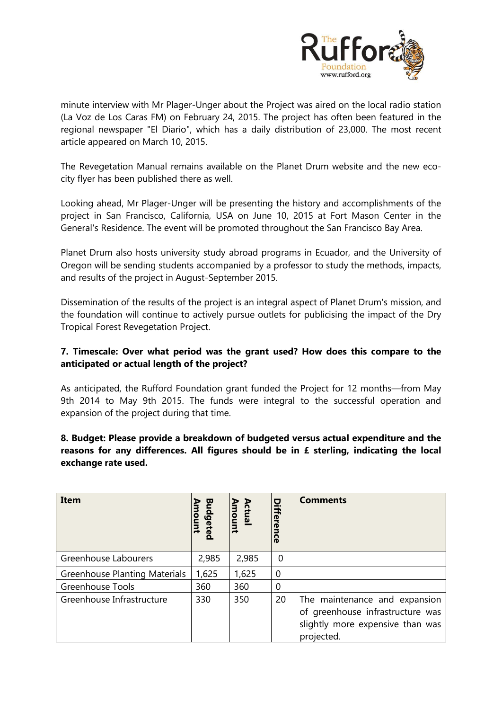

minute interview with Mr Plager-Unger about the Project was aired on the local radio station (La Voz de Los Caras FM) on February 24, 2015. The project has often been featured in the regional newspaper "El Diario", which has a daily distribution of 23,000. The most recent article appeared on March 10, 2015.

The Revegetation Manual remains available on the Planet Drum website and the new ecocity flyer has been published there as well.

Looking ahead, Mr Plager-Unger will be presenting the history and accomplishments of the project in San Francisco, California, USA on June 10, 2015 at Fort Mason Center in the General's Residence. The event will be promoted throughout the San Francisco Bay Area.

Planet Drum also hosts university study abroad programs in Ecuador, and the University of Oregon will be sending students accompanied by a professor to study the methods, impacts, and results of the project in August-September 2015.

Dissemination of the results of the project is an integral aspect of Planet Drum's mission, and the foundation will continue to actively pursue outlets for publicising the impact of the Dry Tropical Forest Revegetation Project.

#### **7. Timescale: Over what period was the grant used? How does this compare to the anticipated or actual length of the project?**

As anticipated, the Rufford Foundation grant funded the Project for 12 months—from May 9th 2014 to May 9th 2015. The funds were integral to the successful operation and expansion of the project during that time.

## **8. Budget: Please provide a breakdown of budgeted versus actual expenditure and the reasons for any differences. All figures should be in £ sterling, indicating the local exchange rate used.**

| Item                                 | Budgetec | mount<br>ctual | o<br><b>ifference</b> | <b>Comments</b>                                                                                                     |
|--------------------------------------|----------|----------------|-----------------------|---------------------------------------------------------------------------------------------------------------------|
| Greenhouse Labourers                 | 2,985    | 2,985          | 0                     |                                                                                                                     |
| <b>Greenhouse Planting Materials</b> | 1,625    | 1,625          | $\overline{0}$        |                                                                                                                     |
| <b>Greenhouse Tools</b>              | 360      | 360            | 0                     |                                                                                                                     |
| Greenhouse Infrastructure            | 330      | 350            | 20                    | The maintenance and expansion<br>of greenhouse infrastructure was<br>slightly more expensive than was<br>projected. |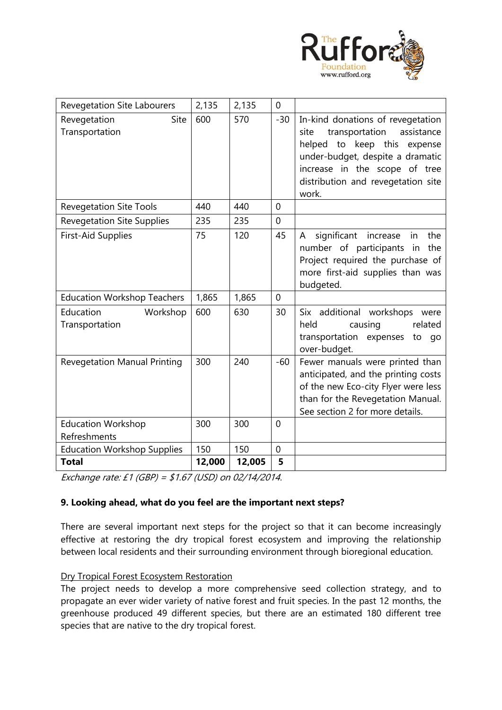

| <b>Revegetation Site Labourers</b>        | 2,135  | 2,135  | $\mathbf{0}$   |                                                                                                                                                                                                                              |
|-------------------------------------------|--------|--------|----------------|------------------------------------------------------------------------------------------------------------------------------------------------------------------------------------------------------------------------------|
| Revegetation<br>Site<br>Transportation    | 600    | 570    | $-30$          | In-kind donations of revegetation<br>assistance<br>transportation<br>site<br>helped to keep this expense<br>under-budget, despite a dramatic<br>increase in the scope of tree<br>distribution and revegetation site<br>work. |
| <b>Revegetation Site Tools</b>            | 440    | 440    | $\overline{0}$ |                                                                                                                                                                                                                              |
| <b>Revegetation Site Supplies</b>         | 235    | 235    | $\overline{0}$ |                                                                                                                                                                                                                              |
| <b>First-Aid Supplies</b>                 | 75     | 120    | 45             | significant increase<br>the<br>A<br>in<br>number of participants in<br>the<br>Project required the purchase of<br>more first-aid supplies than was<br>budgeted.                                                              |
| <b>Education Workshop Teachers</b>        | 1,865  | 1,865  | $\mathbf 0$    |                                                                                                                                                                                                                              |
| Education<br>Workshop<br>Transportation   | 600    | 630    | 30             | Six additional workshops were<br>related<br>held<br>causing<br>transportation expenses to go<br>over-budget.                                                                                                                 |
| <b>Revegetation Manual Printing</b>       | 300    | 240    | $-60$          | Fewer manuals were printed than<br>anticipated, and the printing costs<br>of the new Eco-city Flyer were less<br>than for the Revegetation Manual.<br>See section 2 for more details.                                        |
| <b>Education Workshop</b><br>Refreshments | 300    | 300    | $\overline{0}$ |                                                                                                                                                                                                                              |
| <b>Education Workshop Supplies</b>        | 150    | 150    | $\mathbf 0$    |                                                                                                                                                                                                                              |
| <b>Total</b>                              | 12,000 | 12,005 | 5              |                                                                                                                                                                                                                              |

Exchange rate: £1 (GBP) = \$1.67 (USD) on 02/14/2014.

#### **9. Looking ahead, what do you feel are the important next steps?**

There are several important next steps for the project so that it can become increasingly effective at restoring the dry tropical forest ecosystem and improving the relationship between local residents and their surrounding environment through bioregional education.

## Dry Tropical Forest Ecosystem Restoration

The project needs to develop a more comprehensive seed collection strategy, and to propagate an ever wider variety of native forest and fruit species. In the past 12 months, the greenhouse produced 49 different species, but there are an estimated 180 different tree species that are native to the dry tropical forest.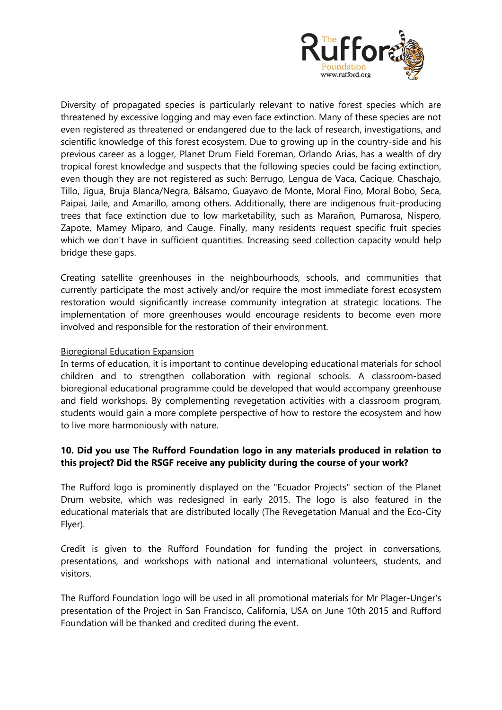

Diversity of propagated species is particularly relevant to native forest species which are threatened by excessive logging and may even face extinction. Many of these species are not even registered as threatened or endangered due to the lack of research, investigations, and scientific knowledge of this forest ecosystem. Due to growing up in the country-side and his previous career as a logger, Planet Drum Field Foreman, Orlando Arias, has a wealth of dry tropical forest knowledge and suspects that the following species could be facing extinction, even though they are not registered as such: Berrugo, Lengua de Vaca, Cacique, Chaschajo, Tillo, Jigua, Bruja Blanca/Negra, Bálsamo, Guayavo de Monte, Moral Fino, Moral Bobo, Seca, Paipai, Jaile, and Amarillo, among others. Additionally, there are indigenous fruit-producing trees that face extinction due to low marketability, such as Marañon, Pumarosa, Nispero, Zapote, Mamey Miparo, and Cauge. Finally, many residents request specific fruit species which we don't have in sufficient quantities. Increasing seed collection capacity would help bridge these gaps.

Creating satellite greenhouses in the neighbourhoods, schools, and communities that currently participate the most actively and/or require the most immediate forest ecosystem restoration would significantly increase community integration at strategic locations. The implementation of more greenhouses would encourage residents to become even more involved and responsible for the restoration of their environment.

#### Bioregional Education Expansion

In terms of education, it is important to continue developing educational materials for school children and to strengthen collaboration with regional schools. A classroom-based bioregional educational programme could be developed that would accompany greenhouse and field workshops. By complementing revegetation activities with a classroom program, students would gain a more complete perspective of how to restore the ecosystem and how to live more harmoniously with nature.

## **10. Did you use The Rufford Foundation logo in any materials produced in relation to this project? Did the RSGF receive any publicity during the course of your work?**

The Rufford logo is prominently displayed on the "Ecuador Projects" section of the Planet Drum website, which was redesigned in early 2015. The logo is also featured in the educational materials that are distributed locally (The Revegetation Manual and the Eco-City Flyer).

Credit is given to the Rufford Foundation for funding the project in conversations, presentations, and workshops with national and international volunteers, students, and visitors.

The Rufford Foundation logo will be used in all promotional materials for Mr Plager-Unger's presentation of the Project in San Francisco, California, USA on June 10th 2015 and Rufford Foundation will be thanked and credited during the event.